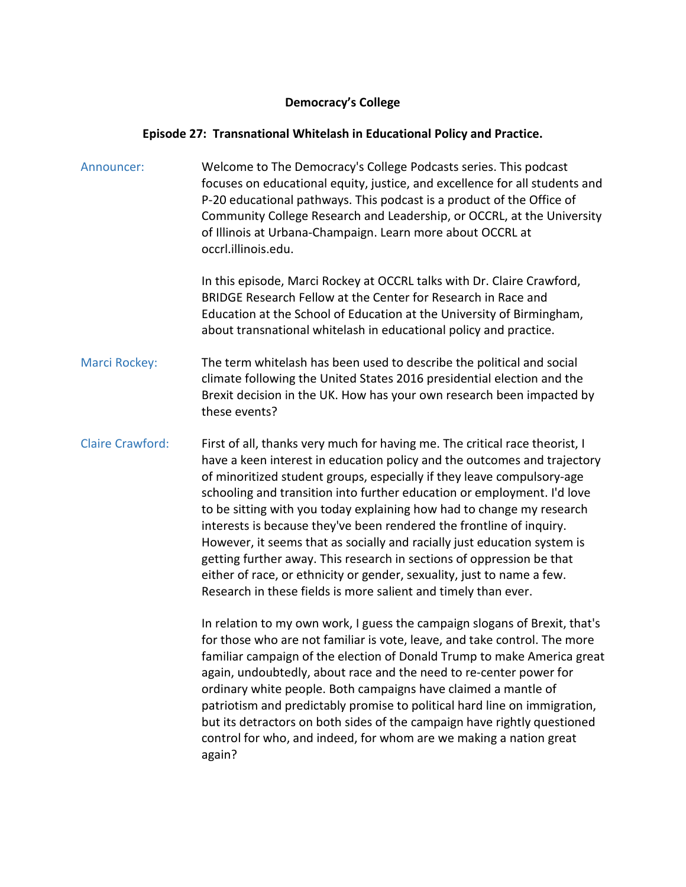## **Democracy's College**

## **Episode 27: Transnational Whitelash in Educational Policy and Practice.**

| Announcer:              | Welcome to The Democracy's College Podcasts series. This podcast<br>focuses on educational equity, justice, and excellence for all students and<br>P-20 educational pathways. This podcast is a product of the Office of<br>Community College Research and Leadership, or OCCRL, at the University<br>of Illinois at Urbana-Champaign. Learn more about OCCRL at<br>occrl.illinois.edu.                                                                                                                                                                                                                                                                                                                                                                        |
|-------------------------|----------------------------------------------------------------------------------------------------------------------------------------------------------------------------------------------------------------------------------------------------------------------------------------------------------------------------------------------------------------------------------------------------------------------------------------------------------------------------------------------------------------------------------------------------------------------------------------------------------------------------------------------------------------------------------------------------------------------------------------------------------------|
|                         | In this episode, Marci Rockey at OCCRL talks with Dr. Claire Crawford,<br>BRIDGE Research Fellow at the Center for Research in Race and<br>Education at the School of Education at the University of Birmingham,<br>about transnational whitelash in educational policy and practice.                                                                                                                                                                                                                                                                                                                                                                                                                                                                          |
| Marci Rockey:           | The term whitelash has been used to describe the political and social<br>climate following the United States 2016 presidential election and the<br>Brexit decision in the UK. How has your own research been impacted by<br>these events?                                                                                                                                                                                                                                                                                                                                                                                                                                                                                                                      |
| <b>Claire Crawford:</b> | First of all, thanks very much for having me. The critical race theorist, I<br>have a keen interest in education policy and the outcomes and trajectory<br>of minoritized student groups, especially if they leave compulsory-age<br>schooling and transition into further education or employment. I'd love<br>to be sitting with you today explaining how had to change my research<br>interests is because they've been rendered the frontline of inquiry.<br>However, it seems that as socially and racially just education system is<br>getting further away. This research in sections of oppression be that<br>either of race, or ethnicity or gender, sexuality, just to name a few.<br>Research in these fields is more salient and timely than ever. |
|                         | In relation to my own work, I guess the campaign slogans of Brexit, that's<br>for those who are not familiar is vote, leave, and take control. The more<br>familiar campaign of the election of Donald Trump to make America great<br>again, undoubtedly, about race and the need to re-center power for<br>ordinary white people. Both campaigns have claimed a mantle of<br>patriotism and predictably promise to political hard line on immigration,                                                                                                                                                                                                                                                                                                        |

but its detractors on both sides of the campaign have rightly questioned control for who, and indeed, for whom are we making a nation great

again?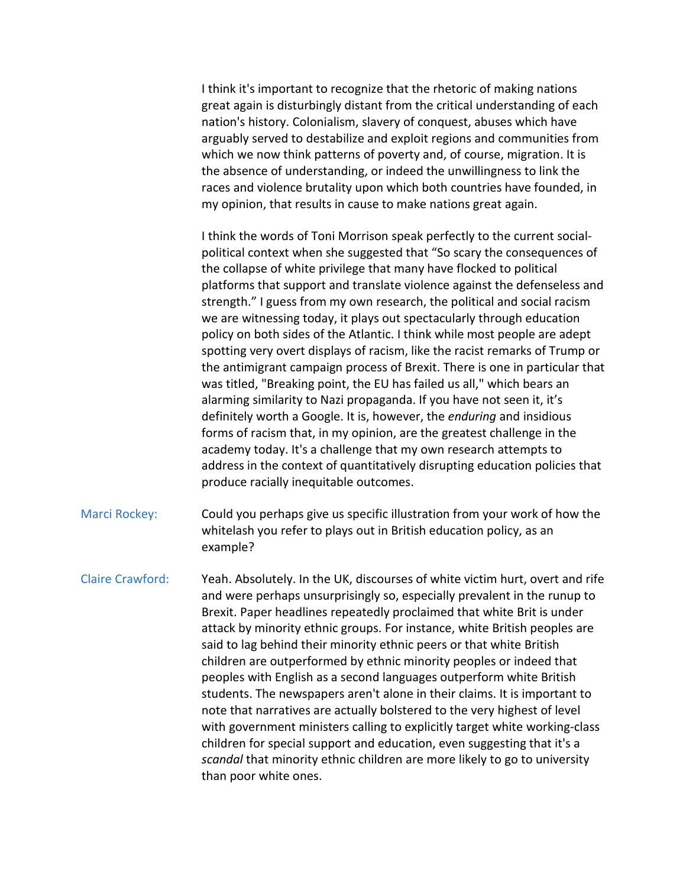I think it's important to recognize that the rhetoric of making nations great again is disturbingly distant from the critical understanding of each nation's history. Colonialism, slavery of conquest, abuses which have arguably served to destabilize and exploit regions and communities from which we now think patterns of poverty and, of course, migration. It is the absence of understanding, or indeed the unwillingness to link the races and violence brutality upon which both countries have founded, in my opinion, that results in cause to make nations great again.

I think the words of Toni Morrison speak perfectly to the current socialpolitical context when she suggested that "So scary the consequences of the collapse of white privilege that many have flocked to political platforms that support and translate violence against the defenseless and strength." I guess from my own research, the political and social racism we are witnessing today, it plays out spectacularly through education policy on both sides of the Atlantic. I think while most people are adept spotting very overt displays of racism, like the racist remarks of Trump or the antimigrant campaign process of Brexit. There is one in particular that was titled, "Breaking point, the EU has failed us all," which bears an alarming similarity to Nazi propaganda. If you have not seen it, it's definitely worth a Google. It is, however, the *enduring* and insidious forms of racism that, in my opinion, are the greatest challenge in the academy today. It's a challenge that my own research attempts to address in the context of quantitatively disrupting education policies that produce racially inequitable outcomes.

Marci Rockey: Could you perhaps give us specific illustration from your work of how the whitelash you refer to plays out in British education policy, as an example?

Claire Crawford: Yeah. Absolutely. In the UK, discourses of white victim hurt, overt and rife and were perhaps unsurprisingly so, especially prevalent in the runup to Brexit. Paper headlines repeatedly proclaimed that white Brit is under attack by minority ethnic groups. For instance, white British peoples are said to lag behind their minority ethnic peers or that white British children are outperformed by ethnic minority peoples or indeed that peoples with English as a second languages outperform white British students. The newspapers aren't alone in their claims. It is important to note that narratives are actually bolstered to the very highest of level with government ministers calling to explicitly target white working-class children for special support and education, even suggesting that it's a *scandal* that minority ethnic children are more likely to go to university than poor white ones.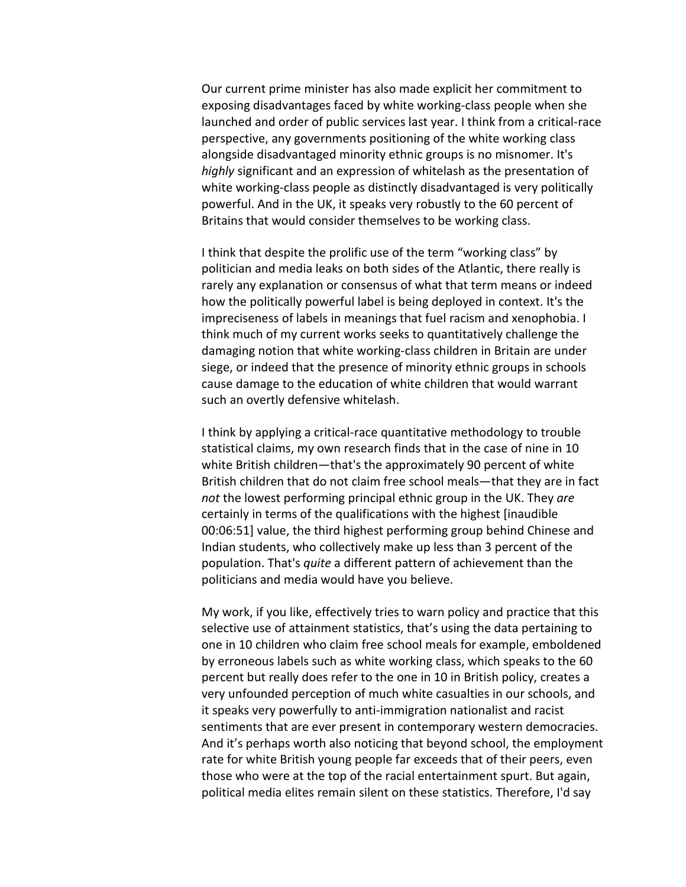Our current prime minister has also made explicit her commitment to exposing disadvantages faced by white working-class people when she launched and order of public services last year. I think from a critical-race perspective, any governments positioning of the white working class alongside disadvantaged minority ethnic groups is no misnomer. It's *highly* significant and an expression of whitelash as the presentation of white working-class people as distinctly disadvantaged is very politically powerful. And in the UK, it speaks very robustly to the 60 percent of Britains that would consider themselves to be working class.

I think that despite the prolific use of the term "working class" by politician and media leaks on both sides of the Atlantic, there really is rarely any explanation or consensus of what that term means or indeed how the politically powerful label is being deployed in context. It's the impreciseness of labels in meanings that fuel racism and xenophobia. I think much of my current works seeks to quantitatively challenge the damaging notion that white working-class children in Britain are under siege, or indeed that the presence of minority ethnic groups in schools cause damage to the education of white children that would warrant such an overtly defensive whitelash.

I think by applying a critical-race quantitative methodology to trouble statistical claims, my own research finds that in the case of nine in 10 white British children—that's the approximately 90 percent of white British children that do not claim free school meals—that they are in fact *not* the lowest performing principal ethnic group in the UK. They *are* certainly in terms of the qualifications with the highest [inaudible 00:06:51] value, the third highest performing group behind Chinese and Indian students, who collectively make up less than 3 percent of the population. That's *quite* a different pattern of achievement than the politicians and media would have you believe.

My work, if you like, effectively tries to warn policy and practice that this selective use of attainment statistics, that's using the data pertaining to one in 10 children who claim free school meals for example, emboldened by erroneous labels such as white working class, which speaks to the 60 percent but really does refer to the one in 10 in British policy, creates a very unfounded perception of much white casualties in our schools, and it speaks very powerfully to anti-immigration nationalist and racist sentiments that are ever present in contemporary western democracies. And it's perhaps worth also noticing that beyond school, the employment rate for white British young people far exceeds that of their peers, even those who were at the top of the racial entertainment spurt. But again, political media elites remain silent on these statistics. Therefore, I'd say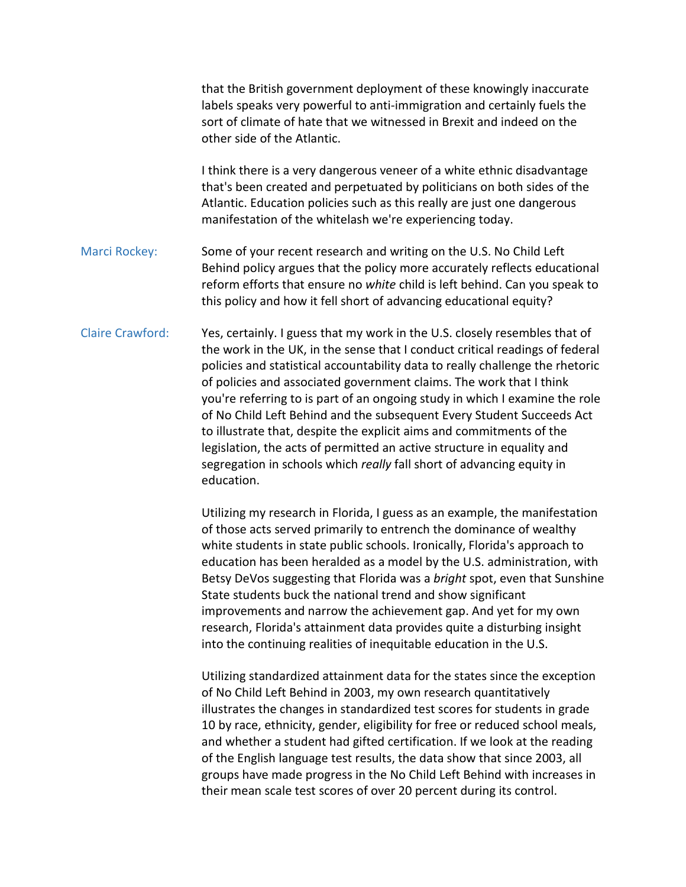|                         | that the British government deployment of these knowingly inaccurate<br>labels speaks very powerful to anti-immigration and certainly fuels the<br>sort of climate of hate that we witnessed in Brexit and indeed on the<br>other side of the Atlantic.                                                                                                                                                                                                                                                                                                                                                                                                                                                             |
|-------------------------|---------------------------------------------------------------------------------------------------------------------------------------------------------------------------------------------------------------------------------------------------------------------------------------------------------------------------------------------------------------------------------------------------------------------------------------------------------------------------------------------------------------------------------------------------------------------------------------------------------------------------------------------------------------------------------------------------------------------|
|                         | I think there is a very dangerous veneer of a white ethnic disadvantage<br>that's been created and perpetuated by politicians on both sides of the<br>Atlantic. Education policies such as this really are just one dangerous<br>manifestation of the whitelash we're experiencing today.                                                                                                                                                                                                                                                                                                                                                                                                                           |
| Marci Rockey:           | Some of your recent research and writing on the U.S. No Child Left<br>Behind policy argues that the policy more accurately reflects educational<br>reform efforts that ensure no white child is left behind. Can you speak to<br>this policy and how it fell short of advancing educational equity?                                                                                                                                                                                                                                                                                                                                                                                                                 |
| <b>Claire Crawford:</b> | Yes, certainly. I guess that my work in the U.S. closely resembles that of<br>the work in the UK, in the sense that I conduct critical readings of federal<br>policies and statistical accountability data to really challenge the rhetoric<br>of policies and associated government claims. The work that I think<br>you're referring to is part of an ongoing study in which I examine the role<br>of No Child Left Behind and the subsequent Every Student Succeeds Act<br>to illustrate that, despite the explicit aims and commitments of the<br>legislation, the acts of permitted an active structure in equality and<br>segregation in schools which really fall short of advancing equity in<br>education. |
|                         | Utilizing my research in Florida, I guess as an example, the manifestation<br>of those acts served primarily to entrench the dominance of wealthy                                                                                                                                                                                                                                                                                                                                                                                                                                                                                                                                                                   |

acts served primarily to entrench the dominance of wealthy white students in state public schools. Ironically, Florida's approach to education has been heralded as a model by the U.S. administration, with Betsy DeVos suggesting that Florida was a *bright* spot, even that Sunshine State students buck the national trend and show significant improvements and narrow the achievement gap. And yet for my own research, Florida's attainment data provides quite a disturbing insight into the continuing realities of inequitable education in the U.S.

Utilizing standardized attainment data for the states since the exception of No Child Left Behind in 2003, my own research quantitatively illustrates the changes in standardized test scores for students in grade 10 by race, ethnicity, gender, eligibility for free or reduced school meals, and whether a student had gifted certification. If we look at the reading of the English language test results, the data show that since 2003, all groups have made progress in the No Child Left Behind with increases in their mean scale test scores of over 20 percent during its control.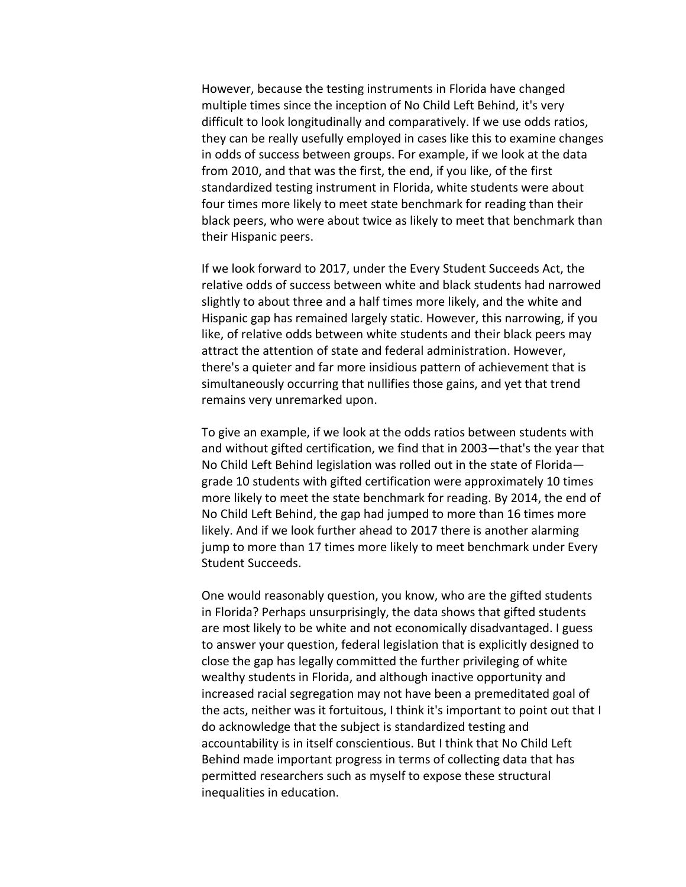However, because the testing instruments in Florida have changed multiple times since the inception of No Child Left Behind, it's very difficult to look longitudinally and comparatively. If we use odds ratios, they can be really usefully employed in cases like this to examine changes in odds of success between groups. For example, if we look at the data from 2010, and that was the first, the end, if you like, of the first standardized testing instrument in Florida, white students were about four times more likely to meet state benchmark for reading than their black peers, who were about twice as likely to meet that benchmark than their Hispanic peers.

If we look forward to 2017, under the Every Student Succeeds Act, the relative odds of success between white and black students had narrowed slightly to about three and a half times more likely, and the white and Hispanic gap has remained largely static. However, this narrowing, if you like, of relative odds between white students and their black peers may attract the attention of state and federal administration. However, there's a quieter and far more insidious pattern of achievement that is simultaneously occurring that nullifies those gains, and yet that trend remains very unremarked upon.

To give an example, if we look at the odds ratios between students with and without gifted certification, we find that in 2003—that's the year that No Child Left Behind legislation was rolled out in the state of Florida grade 10 students with gifted certification were approximately 10 times more likely to meet the state benchmark for reading. By 2014, the end of No Child Left Behind, the gap had jumped to more than 16 times more likely. And if we look further ahead to 2017 there is another alarming jump to more than 17 times more likely to meet benchmark under Every Student Succeeds.

One would reasonably question, you know, who are the gifted students in Florida? Perhaps unsurprisingly, the data shows that gifted students are most likely to be white and not economically disadvantaged. I guess to answer your question, federal legislation that is explicitly designed to close the gap has legally committed the further privileging of white wealthy students in Florida, and although inactive opportunity and increased racial segregation may not have been a premeditated goal of the acts, neither was it fortuitous, I think it's important to point out that I do acknowledge that the subject is standardized testing and accountability is in itself conscientious. But I think that No Child Left Behind made important progress in terms of collecting data that has permitted researchers such as myself to expose these structural inequalities in education.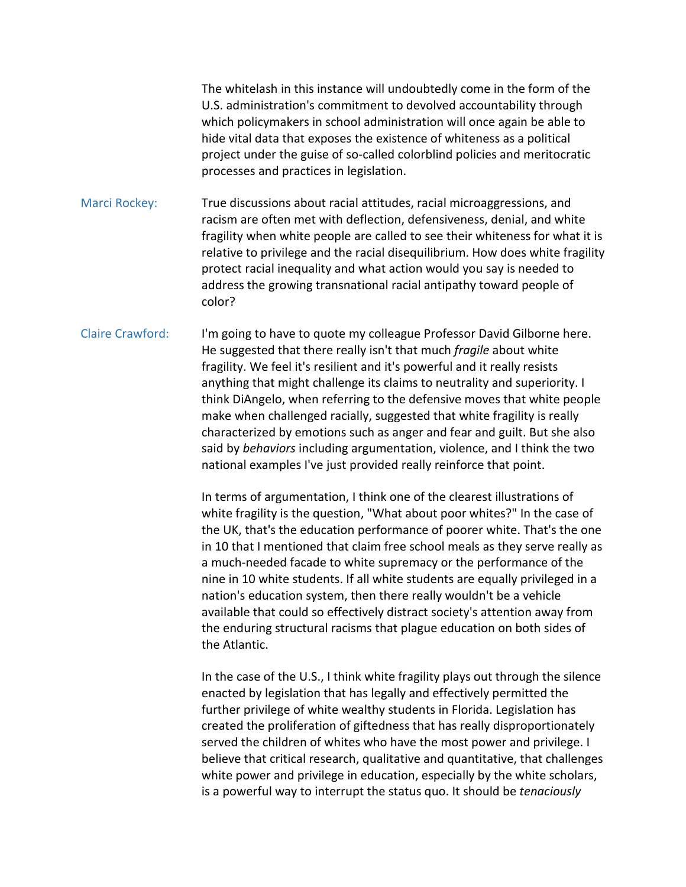The whitelash in this instance will undoubtedly come in the form of the U.S. administration's commitment to devolved accountability through which policymakers in school administration will once again be able to hide vital data that exposes the existence of whiteness as a political project under the guise of so-called colorblind policies and meritocratic processes and practices in legislation.

Marci Rockey: True discussions about racial attitudes, racial microaggressions, and racism are often met with deflection, defensiveness, denial, and white fragility when white people are called to see their whiteness for what it is relative to privilege and the racial disequilibrium. How does white fragility protect racial inequality and what action would you say is needed to address the growing transnational racial antipathy toward people of color?

Claire Crawford: I'm going to have to quote my colleague Professor David Gilborne here. He suggested that there really isn't that much *fragile* about white fragility. We feel it's resilient and it's powerful and it really resists anything that might challenge its claims to neutrality and superiority. I think DiAngelo, when referring to the defensive moves that white people make when challenged racially, suggested that white fragility is really characterized by emotions such as anger and fear and guilt. But she also said by *behaviors* including argumentation, violence, and I think the two national examples I've just provided really reinforce that point.

> In terms of argumentation, I think one of the clearest illustrations of white fragility is the question, "What about poor whites?" In the case of the UK, that's the education performance of poorer white. That's the one in 10 that I mentioned that claim free school meals as they serve really as a much-needed facade to white supremacy or the performance of the nine in 10 white students. If all white students are equally privileged in a nation's education system, then there really wouldn't be a vehicle available that could so effectively distract society's attention away from the enduring structural racisms that plague education on both sides of the Atlantic.

> In the case of the U.S., I think white fragility plays out through the silence enacted by legislation that has legally and effectively permitted the further privilege of white wealthy students in Florida. Legislation has created the proliferation of giftedness that has really disproportionately served the children of whites who have the most power and privilege. I believe that critical research, qualitative and quantitative, that challenges white power and privilege in education, especially by the white scholars, is a powerful way to interrupt the status quo. It should be *tenaciously*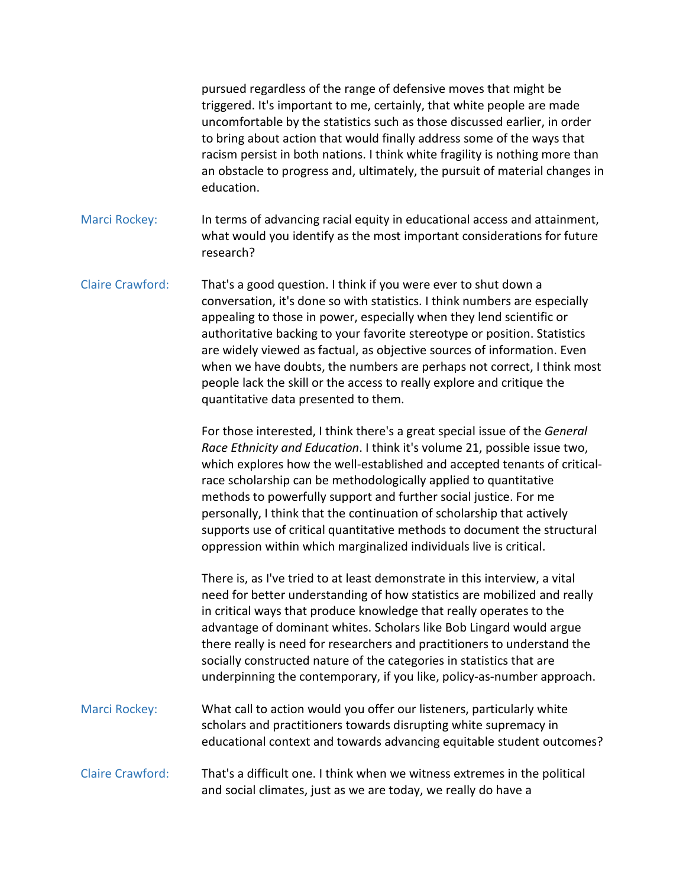pursued regardless of the range of defensive moves that might be triggered. It's important to me, certainly, that white people are made uncomfortable by the statistics such as those discussed earlier, in order to bring about action that would finally address some of the ways that racism persist in both nations. I think white fragility is nothing more than an obstacle to progress and, ultimately, the pursuit of material changes in education.

Marci Rockey: In terms of advancing racial equity in educational access and attainment, what would you identify as the most important considerations for future research?

Claire Crawford: That's a good question. I think if you were ever to shut down a conversation, it's done so with statistics. I think numbers are especially appealing to those in power, especially when they lend scientific or authoritative backing to your favorite stereotype or position. Statistics are widely viewed as factual, as objective sources of information. Even when we have doubts, the numbers are perhaps not correct, I think most people lack the skill or the access to really explore and critique the quantitative data presented to them.

> For those interested, I think there's a great special issue of the *General Race Ethnicity and Education*. I think it's volume 21, possible issue two, which explores how the well-established and accepted tenants of criticalrace scholarship can be methodologically applied to quantitative methods to powerfully support and further social justice. For me personally, I think that the continuation of scholarship that actively supports use of critical quantitative methods to document the structural oppression within which marginalized individuals live is critical.

There is, as I've tried to at least demonstrate in this interview, a vital need for better understanding of how statistics are mobilized and really in critical ways that produce knowledge that really operates to the advantage of dominant whites. Scholars like Bob Lingard would argue there really is need for researchers and practitioners to understand the socially constructed nature of the categories in statistics that are underpinning the contemporary, if you like, policy-as-number approach.

Marci Rockey: What call to action would you offer our listeners, particularly white scholars and practitioners towards disrupting white supremacy in educational context and towards advancing equitable student outcomes?

Claire Crawford: That's a difficult one. I think when we witness extremes in the political and social climates, just as we are today, we really do have a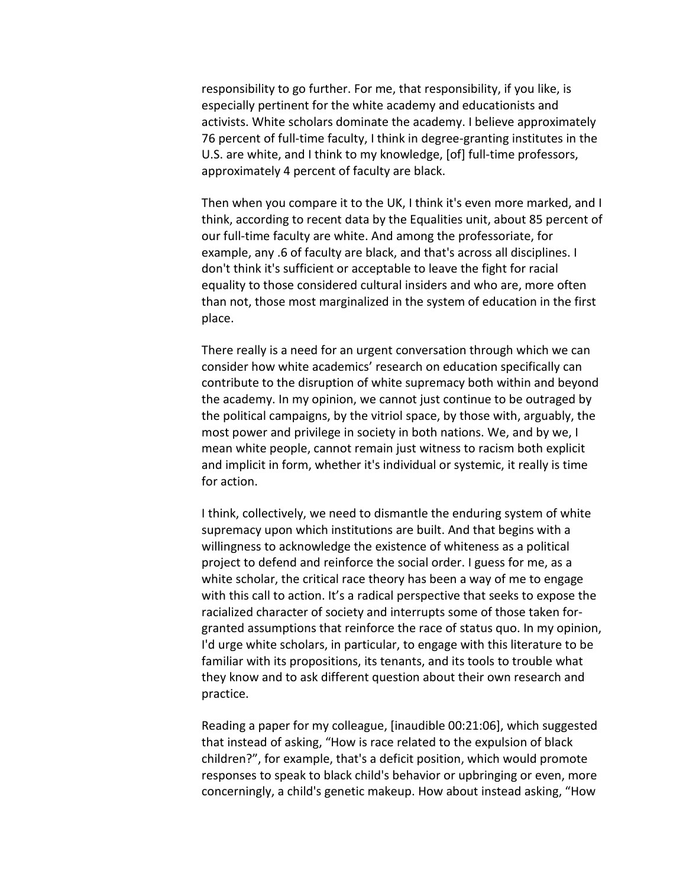responsibility to go further. For me, that responsibility, if you like, is especially pertinent for the white academy and educationists and activists. White scholars dominate the academy. I believe approximately 76 percent of full-time faculty, I think in degree-granting institutes in the U.S. are white, and I think to my knowledge, [of] full-time professors, approximately 4 percent of faculty are black.

Then when you compare it to the UK, I think it's even more marked, and I think, according to recent data by the Equalities unit, about 85 percent of our full-time faculty are white. And among the professoriate, for example, any .6 of faculty are black, and that's across all disciplines. I don't think it's sufficient or acceptable to leave the fight for racial equality to those considered cultural insiders and who are, more often than not, those most marginalized in the system of education in the first place.

There really is a need for an urgent conversation through which we can consider how white academics' research on education specifically can contribute to the disruption of white supremacy both within and beyond the academy. In my opinion, we cannot just continue to be outraged by the political campaigns, by the vitriol space, by those with, arguably, the most power and privilege in society in both nations. We, and by we, I mean white people, cannot remain just witness to racism both explicit and implicit in form, whether it's individual or systemic, it really is time for action.

I think, collectively, we need to dismantle the enduring system of white supremacy upon which institutions are built. And that begins with a willingness to acknowledge the existence of whiteness as a political project to defend and reinforce the social order. I guess for me, as a white scholar, the critical race theory has been a way of me to engage with this call to action. It's a radical perspective that seeks to expose the racialized character of society and interrupts some of those taken forgranted assumptions that reinforce the race of status quo. In my opinion, I'd urge white scholars, in particular, to engage with this literature to be familiar with its propositions, its tenants, and its tools to trouble what they know and to ask different question about their own research and practice.

Reading a paper for my colleague, [inaudible 00:21:06], which suggested that instead of asking, "How is race related to the expulsion of black children?", for example, that's a deficit position, which would promote responses to speak to black child's behavior or upbringing or even, more concerningly, a child's genetic makeup. How about instead asking, "How